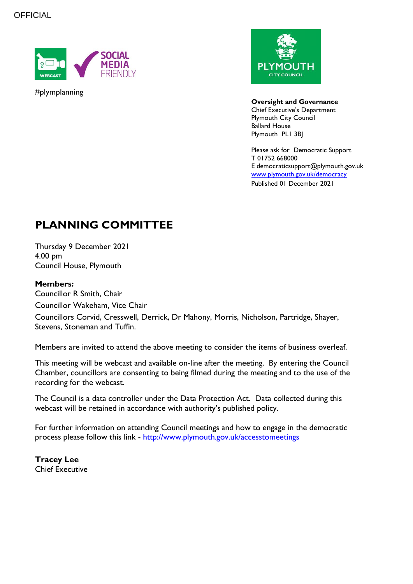

#plymplanning



**Oversight and Governance** Chief Executive's Department Plymouth City Council Ballard House Plymouth PL1 3BJ

Please ask for Democratic Support T 01752 668000 E democraticsupport@plymouth.gov.uk [www.plymouth.gov.uk/](http://www.plymouth.gov.uk/)democracy Published 01 December 2021

# **PLANNING COMMITTEE**

Thursday 9 December 2021 4.00 pm Council House, Plymouth

### **Members:**

Councillor R Smith, Chair Councillor Wakeham, Vice Chair Councillors Corvid, Cresswell, Derrick, Dr Mahony, Morris, Nicholson, Partridge, Shayer, Stevens, Stoneman and Tuffin.

Members are invited to attend the above meeting to consider the items of business overleaf.

This meeting will be webcast and available on-line after the meeting. By entering the Council Chamber, councillors are consenting to being filmed during the meeting and to the use of the recording for the webcast.

The Council is a data controller under the Data Protection Act. Data collected during this webcast will be retained in accordance with authority's published policy.

For further information on attending Council meetings and how to engage in the democratic process please follow this link - <http://www.plymouth.gov.uk/accesstomeetings>

**Tracey Lee** Chief Executive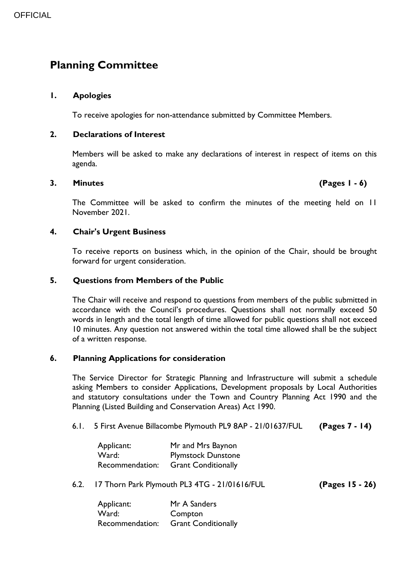## **Planning Committee**

#### **1. Apologies**

To receive apologies for non-attendance submitted by Committee Members.

#### **2. Declarations of Interest**

Members will be asked to make any declarations of interest in respect of items on this agenda.

#### **3. Minutes (Pages 1 - 6)**

The Committee will be asked to confirm the minutes of the meeting held on 11 November 2021.

#### **4. Chair's Urgent Business**

To receive reports on business which, in the opinion of the Chair, should be brought forward for urgent consideration.

#### **5. Questions from Members of the Public**

The Chair will receive and respond to questions from members of the public submitted in accordance with the Council's procedures. Questions shall not normally exceed 50 words in length and the total length of time allowed for public questions shall not exceed 10 minutes. Any question not answered within the total time allowed shall be the subject of a written response.

### **6. Planning Applications for consideration**

The Service Director for Strategic Planning and Infrastructure will submit a schedule asking Members to consider Applications, Development proposals by Local Authorities and statutory consultations under the Town and Country Planning Act 1990 and the Planning (Listed Building and Conservation Areas) Act 1990.

6.1. 5 First Avenue Billacombe Plymouth PL9 8AP - 21/01637/FUL **(Pages 7 - 14)**

| Applicant:      | Mr and Mrs Baynon          |
|-----------------|----------------------------|
| Ward:           | <b>Plymstock Dunstone</b>  |
| Recommendation: | <b>Grant Conditionally</b> |

6.2. 17 Thorn Park Plymouth PL3 4TG - 21/01616/FUL **(Pages 15 - 26)**

| Applicant:      | Mr A Sanders               |
|-----------------|----------------------------|
| Ward:           | Compton                    |
| Recommendation: | <b>Grant Conditionally</b> |